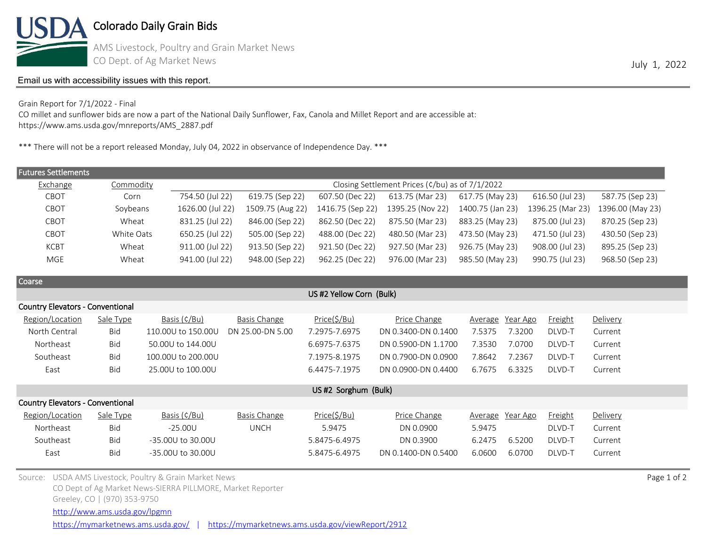

Colorado Daily Grain Bids

AMS Livestock, Poultry and Grain Market News CO Dept. of Ag Market News July 1, 2022

## [Email us with accessibility issues with this report.](mailto:mars@ams.usda.gov?subjectNot%20able%20to%20access%20video%20auction%20report)

CO millet and sunflower bids are now a part of the National Daily Sunflower, Fax, Canola and Millet Report and are accessible at: https://www.ams.usda.gov/mnreports/AMS\_2887.pdf

\*\*\* There will not be a report released Monday, July 04, 2022 in observance of Independence Day. \*\*\*

| <b>Futures Settlements</b> |            |                                                 |                  |                  |                  |                  |                  |                  |  |
|----------------------------|------------|-------------------------------------------------|------------------|------------------|------------------|------------------|------------------|------------------|--|
| Exchange                   | Commodity  | Closing Settlement Prices (¢/bu) as of 7/1/2022 |                  |                  |                  |                  |                  |                  |  |
| CBOT                       | Corn       | 754.50 (Jul 22)                                 | 619.75 (Sep 22)  | 607.50 (Dec 22)  | 613.75 (Mar 23)  | 617.75 (May 23)  | 616.50 (Jul 23)  | 587.75 (Sep 23)  |  |
| CBOT                       | Soybeans   | 1626.00 (Jul 22)                                | 1509.75 (Aug 22) | 1416.75 (Sep 22) | 1395.25 (Nov 22) | 1400.75 (Jan 23) | 1396.25 (Mar 23) | 1396.00 (May 23) |  |
| CBOT                       | Wheat      | 831.25 (Jul 22)                                 | 846.00 (Sep 22)  | 862.50 (Dec 22)  | 875.50 (Mar 23)  | 883.25 (May 23)  | 875.00 (Jul 23)  | 870.25 (Sep 23)  |  |
| CBOT                       | White Oats | 650.25 (Jul 22)                                 | 505.00 (Sep 22)  | 488.00 (Dec 22)  | 480.50 (Mar 23)  | 473.50 (May 23)  | 471.50 (Jul 23)  | 430.50 (Sep 23)  |  |
| <b>KCBT</b>                | Wheat      | 911.00 (Jul 22)                                 | 913.50 (Sep 22)  | 921.50 (Dec 22)  | 927.50 (Mar 23)  | 926.75 (May 23)  | 908.00 (Jul 23)  | 895.25 (Sep 23)  |  |
| MGE                        | Wheat      | 941.00 (Jul 22)                                 | 948.00 (Sep 22)  | 962.25 (Dec 22)  | 976.00 (Mar 23)  | 985.50 (May 23)  | 990.75 (Jul 23)  | 968.50 (Sep 23)  |  |

Coarse

| US #2 Yellow Corn (Bulk)                |            |                    |                     |               |                     |                            |                |          |  |
|-----------------------------------------|------------|--------------------|---------------------|---------------|---------------------|----------------------------|----------------|----------|--|
| <b>Country Elevators - Conventional</b> |            |                    |                     |               |                     |                            |                |          |  |
| Region/Location                         | Sale Type  | Basis (¢/Bu)       | Basis Change        | Price(5/Bu)   | Price Change        | Year Ago<br><u>Average</u> | <b>Freight</b> | Delivery |  |
| North Central                           | Bid        | 110,00U to 150,00U | DN 25.00-DN 5.00    | 7.2975-7.6975 | DN 0.3400-DN 0.1400 | 7.5375<br>7.3200           | DLVD-T         | Current  |  |
| Northeast                               | <b>Bid</b> | 50,000 to 144,000  |                     | 6.6975-7.6375 | DN 0.5900-DN 1.1700 | 7.0700<br>7.3530           | DLVD-T         | Current  |  |
| Southeast                               | Bid        | 100,00U to 200,00U |                     | 7.1975-8.1975 | DN 0.7900-DN 0.0900 | 7.8642<br>7.2367           | DLVD-T         | Current  |  |
| East                                    | <b>Bid</b> | 25,000 to 100,000  |                     | 6.4475-7.1975 | DN 0.0900-DN 0.4400 | 6.3325<br>6.7675           | DLVD-T         | Current  |  |
|                                         |            |                    |                     |               |                     |                            |                |          |  |
| US#2 Sorghum (Bulk)                     |            |                    |                     |               |                     |                            |                |          |  |
| <b>Country Elevators - Conventional</b> |            |                    |                     |               |                     |                            |                |          |  |
| Region/Location                         | Sale Type  | Basis (¢/Bu)       | <b>Basis Change</b> | Price(5/Bu)   | Price Change        | Average Year Ago           | <b>Freight</b> | Delivery |  |
| Northeast                               | <b>Bid</b> | $-25.00U$          | <b>UNCH</b>         | 5.9475        | DN 0.0900           | 5.9475                     | DLVD-T         | Current  |  |
| Southeast                               | <b>Bid</b> | -35,00U to 30,00U  |                     | 5.8475-6.4975 | DN 0.3900           | 6.5200<br>6.2475           | DLVD-T         | Current  |  |
| East                                    | <b>Bid</b> | -35,00U to 30,00U  |                     | 5.8475-6.4975 | DN 0.1400-DN 0.5400 | 6.0600<br>6.0700           | DLVD-T         | Current  |  |
|                                         |            |                    |                     |               |                     |                            |                |          |  |
|                                         |            | .                  |                     |               |                     |                            |                |          |  |

Source: USDA AMS Livestock, Poultry & Grain Market News Page 1 of 2 and 2008 and 2008 and 2008 and 2008 and 2008 and 2008 and 2008 and 2008 and 2008 and 2008 and 2008 and 2008 and 2008 and 2008 and 2008 and 2008 and 2008 a CO Dept of Ag Market News-SIERRA PILLMORE, Market Reporter Greeley, CO | (970) 353-9750 <http://www.ams.usda.gov/lpgmn>

<https://mymarketnews.ams.usda.gov/> | <https://mymarketnews.ams.usda.gov/viewReport/2912>